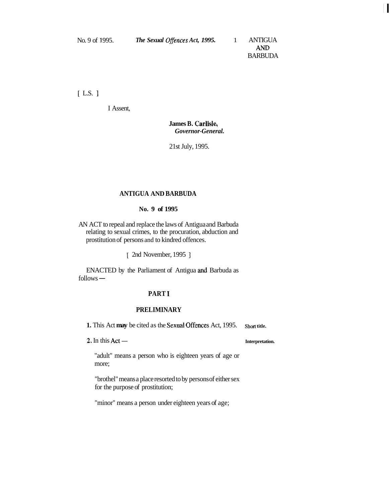Am **BARBUDA**   $\mathbf{H}$ 

 $[L.S.]$ 

I Assent,

### **James B. Carlisle,**  *Governor-General.*

21st July, 1995.

### **ANTIGUA AND BARBUDA**

#### **No. 9 of 1995**

AN ACT to repeal and replace the laws of Antigua and Barbuda relating to sexual crimes, to the procuration, abduction and prostitution of persons and to kindred offences.

[ 2nd November, 1995 ]

ENACTED by the Parliament of Antigua and Barbuda as ENACTEI<br>follows —

#### **PART 1**

#### **PRELIMINARY**

**1.** This Act **may** be cited as the Sexual Offences Act, 1995. Short title.<br> **2.** In this Act — **Interpretation.** 

"adult" means a person who is eighteen years of age or more;

"brothel" means a place resorted to by persons of either sex for the purpose of prostitution;

"minor" means a person under eighteen years of age;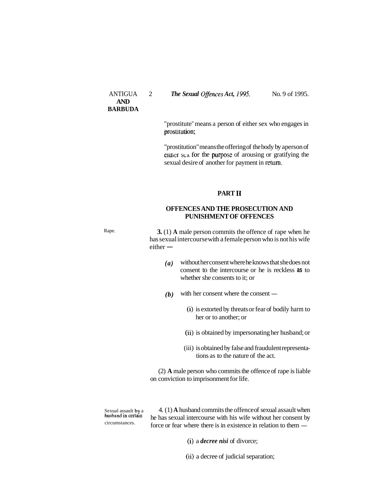#### ANTIGUA 2 *The Sexual Offences Act, 1995*. No. 9 of 1995.

"prostitute" means a person of either sex who engages in prostitution;

"prostitution" means the offering of the body by aperson of ermer sex for the purpose of arousing or gratifying the sexual desire of another for payment in return.

#### **PART I1**

#### **OFFENCES AND THE PROSECUTION AND PUNISHMENT OF OFFENCES**

Rape. **3.** (1) **A** male person commits the offence of rape when he has sexual intercourse with a female person who is not his wife **3.** (1) **A** i<br>has sexual in<br>either  $-$ 

- *(a)* without her consent where he knows that she does not consent to the intercourse or he is reckless **as** to whether she consents to it; or
- $(b)$  with her consent where the consent  $-$ 
	- (i) is extorted by threats or fear of bodily harm to her or to another; or
	- (ii) is obtained by impersonating her husband; or
	- (iii) is obtained by false and fraudulent representations as to the nature of the act.

(2) **A** male person who commits the offence of rape is liable on conviction to imprisonment for life.

Sexual assault **by a**  $\frac{4}{1}$ . (1) **A** husband commits the offence of sexual assault when husband in certain be been sexual intercourse with his wife without her consent by husband in certain he has sexual intercourse with his wife without her consent by circumstances. force or fear where there is in existence in relation to them —

- (i) a *decree nisi* of divorce;
- (ii) a decree of judicial separation;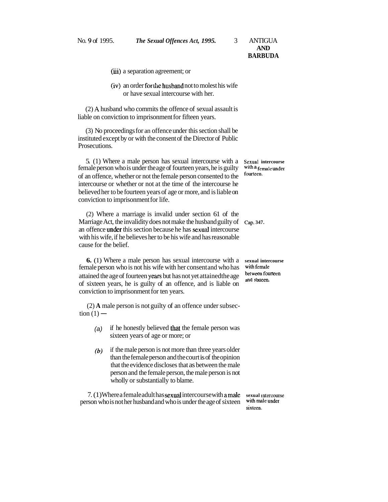- (iii) a separation agreement; or
- (iv) an order for the husband not to molest his wife or have sexual intercourse with her.

(2) **A** husband who commits the offence of sexual assault is liable on conviction to imprisonment for fifteen years.

(3) No proceedings for an offence under this section shall be instituted except by or with the consent of the Director of Public Prosecutions.

5. (1) Where a male person has sexual intercourse with a **sexual intercourse**  female person who is under the age of fourteen years, he is guilty with a fermed a few of such a few of the state of the state of the state of the state of the state of the state of the state of the state of the state of t of an offence, whether or not the female person consented to the intercourse or whether or not at the time of the intercourse he believed her to be fourteen years of age or more, and is liable on conviction to imprisonment for life.

(2) Where a marriage is invalid under section 61 of the Marriage Act, the invalidity does not make the husband guilty of cap. 347. an offence under this section because he has sexud intercourse with his wife, if he believes her to be his wife and has reasonable cause for the belief.

**6.** (1) Where a male person has sexual intercourse with a **sexual intercourse**  female person who is not his wife with her consent and who has **with female**  attained the age of fourteen yexs but has not yet attainedthe age of sixteen years, he is guilty of an offence, and is liable on conviction to imprisonment for ten years.

(2) **A** male person is not guilty of an offence under subsec-(2) **A** male<br>tion  $(1)$  -

- (a) if he honestly believed that the female person was sixteen years of age or more; or
- *(b)* if the male person is not more than three years older than the female person and the court is of the opinion that the evidence discloses that as between the male person and the female person, the male person is not wholly or substantially to blame.

7. (1) Where a female adult has sexual intercourse with amale **sexual intercourse**  person who is not her husband and who is under the age of sixteen

**slxteen.** 

and sixteen.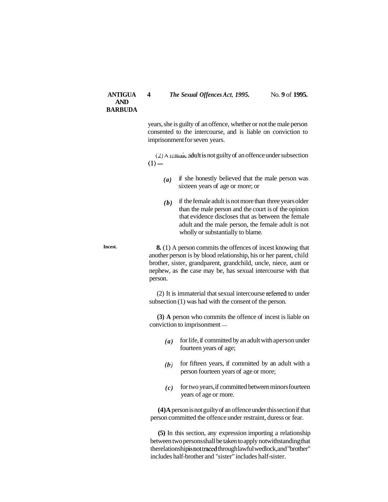#### **ANTIGUA** 4 *The Sexual Offences Act, 1995.* No. 9 of 1995.

years, she is guilty of an offence, whether or not the male person consented to the intercourse, and is liable on conviction to imprisonment for seven years.

(2) A **i** emaic adult is not guilty of an offence under subsection  $(1)$  —

- *(a)* if she honestly believed that the male person was sixteen years of age or more; or
- *(b)* if the female adult is not more than three years older than the male person and the court is of the opinion that evidence discloses that as between the female adult and the male person, the female adult is not wholly or substantially to blame.

**Incest. 8.** (1) A person commits the offences of incest knowing that another person is by blood relationship, his or her parent, child brother, sister, grandparent, grandchild, uncle, niece, aunt or nephew, as the case may be, has sexual intercourse with that person.

> (2) It is immaterial that sexual intercourse referred to under subsection (1) was had with the consent of the person.

> **(3) A** person who commits the offence of incest is liable on (3) A person who commits the conviction to imprisonment  $-$

- $(a)$  for life, if committed by an adult with aperson under fourteen years of age;
- $(b)$  for fifteen years, if committed by an adult with a person fourteen years of age or more;
- $(c)$  for two years, if committed between minors fourteen years of age or more.

**(4) A** person is not guilty of an offence under this section if that person committed the offence under restraint, duress or fear.

**(5)** In this section, any expression importing a relationship between two persons shall be taken to apply notwithstanding that therelationship is not traced through lawful wedlock, and "brother" includes half-brother and "sister" includes half-sister.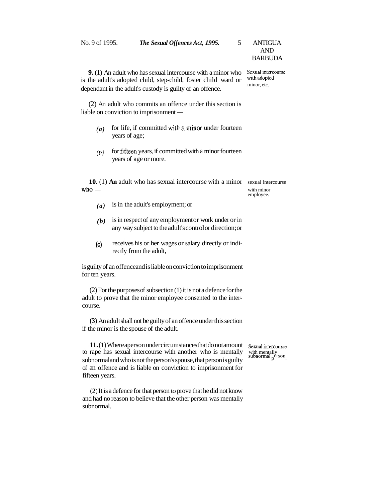| No. 9 of 1995.                                                                                                                                                                                    | The Sexual Offences Act, 1995.<br>5                                                                            | <b>ANTIGUA</b><br><b>AND</b><br><b>BARBUDA</b> |
|---------------------------------------------------------------------------------------------------------------------------------------------------------------------------------------------------|----------------------------------------------------------------------------------------------------------------|------------------------------------------------|
| <b>9.</b> (1) An adult who has sexual intercourse with a minor who<br>is the adult's adopted child, step-child, foster child ward or<br>dependant in the adult's custody is guilty of an offence. | Sexual intercourse<br>with adopted<br>minor, etc.                                                              |                                                |
|                                                                                                                                                                                                   | (2) An adult who commits an offence under this section is<br>liable on conviction to imprisonment —            |                                                |
| (a)                                                                                                                                                                                               | for life, if committed with a minor under fourteen<br>years of age;                                            |                                                |
| (b)                                                                                                                                                                                               | for fifteen years, if committed with a minor fourteen<br>years of age or more.                                 |                                                |
| $who -$                                                                                                                                                                                           | <b>10.</b> (1) An adult who has sexual intercourse with a minor                                                | sexual intercourse<br>with minor<br>employee.  |
| (a)                                                                                                                                                                                               | is in the adult's employment; or                                                                               |                                                |
| (b)                                                                                                                                                                                               | is in respect of any employment or work under or in<br>any way subject to the adult's control or direction; or |                                                |
| (c)                                                                                                                                                                                               | receives his or her wages or salary directly or indi-<br>rectly from the adult,                                |                                                |
| for ten years.                                                                                                                                                                                    | is guilty of an offence and is liable on conviction to imprisonment                                            |                                                |
| $(2)$ For the purposes of subsection $(1)$ it is not a defence for the<br>adult to prove that the minor employee consented to the inter-<br>course.                                               |                                                                                                                |                                                |

**(3)** An adult shall not be guilty of an offence under this section if the minor is the spouse of the adult.

**11.** (1) Where aperson under circumstances that do not amount Sexual intercourse rape has sexual intercourse with another who is mentally with mentally bonormal and who is not the nerson's snouse that person is quilty sub to rape has sexual intercourse with another who is mentally subnormal and who is not the person's spouse, that person is guilty of an offence and is liable on conviction to imprisonment for fifteen years.

(2) It is a defence for that person to prove that he did not know and had no reason to believe that the other person was mentally subnormal.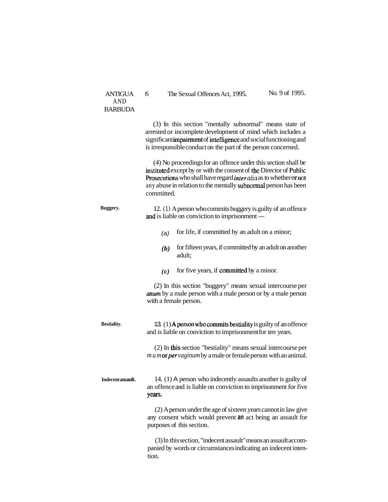| <b>ANTIGUA</b><br><b>AND</b><br><b>BARBUDA</b> | 6<br>The Sexual Offences Act, 1995.                                                                                                                                                                                                                                                        |                                                        | No. 9 of 1995. |
|------------------------------------------------|--------------------------------------------------------------------------------------------------------------------------------------------------------------------------------------------------------------------------------------------------------------------------------------------|--------------------------------------------------------|----------------|
|                                                | (3) In this section "mentally subnormal" means state of<br>arrested or incomplete development of mind which includes a<br>significant impairment of intelligence and social functioning and<br>is irresponsible conduct on the part of the person concerned.                               |                                                        |                |
|                                                | (4) No proceedings for an offence under this section shall be<br>instituted except by or with the consent of the Director of Public<br>Prosecutions who shall have regard inter alia as to whether or not<br>any abuse in relation to the mentally subnormal person has been<br>committed. |                                                        |                |
| Buggery.                                       | 12. (1) A person who commits buggery is guilty of an offence<br>and is liable on conviction to imprisonment —                                                                                                                                                                              |                                                        |                |
|                                                | (a)                                                                                                                                                                                                                                                                                        | for life, if committed by an adult on a minor;         |                |
|                                                | (b)<br>adult;                                                                                                                                                                                                                                                                              | for fifteen years, if committed by an adult on another |                |
|                                                | (c)                                                                                                                                                                                                                                                                                        | for five years, if committed by a minor.               |                |
|                                                | (2) In this section "buggery" means sexual intercourse per<br><i>anum</i> by a male person with a male person or by a male person<br>with a female person.                                                                                                                                 |                                                        |                |
| <b>Bestiality.</b>                             | 13 (1) A person who commits bestiality is guilty of an offence<br>and is liable on conviction to imprisonment for ten years.                                                                                                                                                               |                                                        |                |
|                                                | (2) In this section "bestiality" means sexual intercourse per<br>$m u m$ or per vaginum by a male or female person with an animal.                                                                                                                                                         |                                                        |                |
| Indecent assault.                              | 14. (1) A person who indecently assaults another is guilty of<br>an offence and is liable on conviction to imprisonment for five<br>years.                                                                                                                                                 |                                                        |                |
|                                                | (2) A person under the age of sixteen years cannot in law give<br>any consent which would prevent an act being an assault for<br>purposes of this section.                                                                                                                                 |                                                        |                |
|                                                | (3) In this section, "indecent assault" means an assault accom-<br>panied by words or circumstances indicating an indecent inten-<br>tion.                                                                                                                                                 |                                                        |                |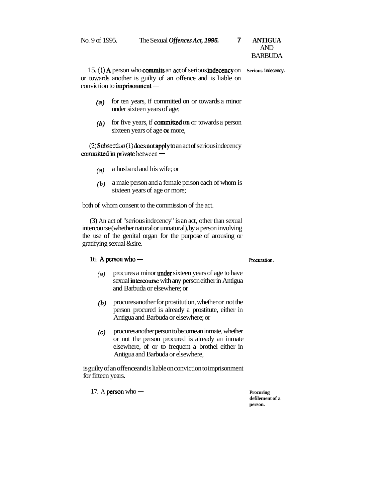No. 9 of 1995. The Sexual *Offences Act,* **1995. 7 ANTIGUA** 

# AND BARBUDA

15. **(1) A** person who commits an act of serious in&cency on **Serious indecency.**  or towards another is guilty of an offence and is liable on 15. (1) **A** person who **commits** or<br>or towards another is guilty of<br>conviction to **imprisonment** —

- **(a)** for ten years, if committed on or towards a minor under sixteen years of age;
- *(b)* for five years, if committed **an** or towards a person sixteen years of age of more,

(2) Subsection (1) does not apply to an act of serious indecency  $(2)$ Subsection(1) does not apply to committed in private between  $-$ 

- (a) a husband and his wife; or
- *(b)* a male person and a female person each of whom is sixteen years of age or more;

both of whom consent to the commission of the act.

(3) An act of "serious indecency" is an act, other than sexual intercourse (whether natural or unnatural), by a person involving the use of the genital organ for the purpose of arousing or gratifying sexual &sire. titying sexual *d*esire.<br>16. A person who — **Rocuration**.

- (a) procures a minor **under** sixteen years of age to have sexual intercourse with any person either in Antigua and Barbuda or elsewhere; or
- *(b)* procures another for prostitution, whether or not the person procured is already a prostitute, either in Antigua and Barbuda or elsewhere; or
- **(c)** procures another person to become an inmate, whether or not the person procured is already an inmate elsewhere, of or to frequent a brothel either in Antigua and Barbuda or elsewhere,

is guilty of an offence and is liable on conviction to imprisonment for fifteen years. 17. A **person** who — **Procuring and Procuring and Procuring and Procuring and Procuring and Procuring and Procession**  $\mathbb{R}^n$ 

**defilement of a person.**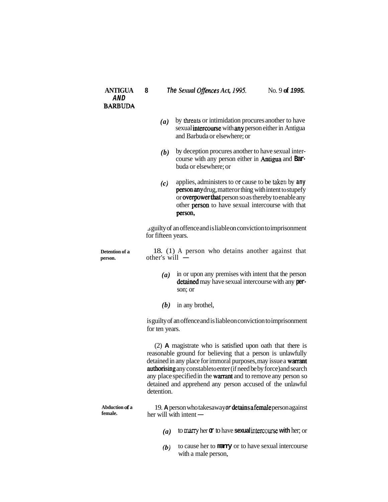| <b>ANTIGUA</b><br>AND<br><b>BARBUDA</b> | 8                                                                     | The Sexual Offences Act, 1995.                                                                                                                                                                                                                                                                                                                                                                    | No. 9 of 1995. |
|-----------------------------------------|-----------------------------------------------------------------------|---------------------------------------------------------------------------------------------------------------------------------------------------------------------------------------------------------------------------------------------------------------------------------------------------------------------------------------------------------------------------------------------------|----------------|
|                                         | (a)                                                                   | by threats or intimidation procures another to have<br>sexual intercourse with any person either in Antigua<br>and Barbuda or elsewhere; or                                                                                                                                                                                                                                                       |                |
|                                         | (b)                                                                   | by deception procures another to have sexual inter-<br>course with any person either in Antigua and Bar-<br>buda or elsewhere; or                                                                                                                                                                                                                                                                 |                |
|                                         | (c)                                                                   | applies, administers to or cause to be taken by any<br>person any drug, matter or thing with intent to stupefy<br>or overpower that person so as thereby to enable any<br>other person to have sexual intercourse with that<br>person,                                                                                                                                                            |                |
|                                         | for fifteen years.                                                    | s guilty of an offence and is liable on conviction to imprisonment                                                                                                                                                                                                                                                                                                                                |                |
| Detention of a<br>person.               | 18. (1) A person who detains another against that<br>other's will $-$ |                                                                                                                                                                                                                                                                                                                                                                                                   |                |
|                                         | (a)                                                                   | in or upon any premises with intent that the person<br>detained may have sexual intercourse with any per-<br>son; or                                                                                                                                                                                                                                                                              |                |
|                                         | (b)                                                                   | in any brothel,                                                                                                                                                                                                                                                                                                                                                                                   |                |
|                                         | for ten years.                                                        | is guilty of an offence and is liable on conviction to imprisonment                                                                                                                                                                                                                                                                                                                               |                |
|                                         | detention.                                                            | (2) A magistrate who is satisfied upon oath that there is<br>reasonable ground for believing that a person is unlawfully<br>detained in any place for immoral purposes, may issue a warrant<br>authorising any constable to enter (if need be by force) and search<br>any place specified in the warrant and to remove any person so<br>detained and apprehend any person accused of the unlawful |                |
| Abduction of a<br>female.               |                                                                       | 19. A person who takesaway or detains a female person against<br>her will with intent -                                                                                                                                                                                                                                                                                                           |                |
|                                         | $\left(a\right)$                                                      | to marry her $\alpha$ to have <b>sexual</b> intercourse with her; or                                                                                                                                                                                                                                                                                                                              |                |
|                                         | (b)                                                                   | to cause her to <b>namy</b> or to have sexual intercourse                                                                                                                                                                                                                                                                                                                                         |                |

with a male person,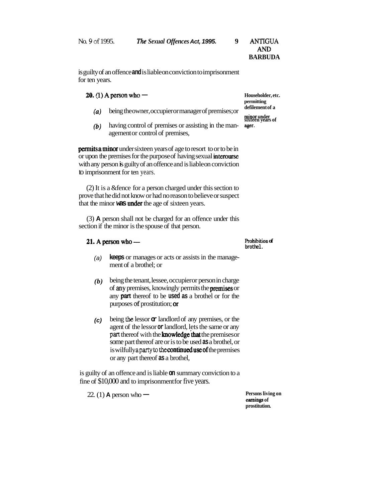| No. 9 of 1995. | The Sexual Offences Act, 1995 |  |
|----------------|-------------------------------|--|
|                |                               |  |

No. **V** of 1995. **The** *Sexual Offences* **Act, 1995. 9 ANTIGUA AmvD BARBUDA** 

is guilty of an offence **and** is liable on conviction to imprisonment for ten years. **20.** (1) **A** person who - **Householder, etc. Householder, etc.** 

- **defined being the owner, occupier or manager of premises; or**
- *(b)* having control of premises or assisting in the man- **ager.**  agement or control of premises,

**permits a minor** under sixteen years of age to resort to or to be in or upon the premises for the purpose of having sexual intercurse with any person is guilty of an offence and is liable on conviction to imprisonment for ten years.

(2) It is a &fence for a person charged under this section to prove that he did not know or had no reason to believe or suspect that the minor **was** under the age of sixteen years.

(3) **A** person shall not be charged for an offence under this section if the minor is the spouse of that person.

#### 21. A person who -

- (a) **keeps** or manages or acts or assists in the management of a brothel; or
- $(b)$  being the tenant, lessee, occupier or person in charge of **my** premises, knowingly permits the premises or any **part** thereof to be **used as** a brothel or for the purposes **d** prostitution; ar
- **(c)** being **the** lessor **or** landlord of any premises, or the agent of the lessor **or** landlord, lets the same or any part thereof with the **knowledge that** the premises or some part thereof are or is to be used **as** a brothel, or is wilfully a party to the **continued use of** the premises or any part thereof **as** a brothel,

is guilty of an offence and is liable **on** summary conviction to a fine of \$10,000 and to imprisonment for five years.<br>
22. (1) **A** person who — **Persons living on Persons living on Persons living on** 

**earnings of prostitution.** 

**permitting** 

**sixteen years of** 

**Prohibition of brothel.**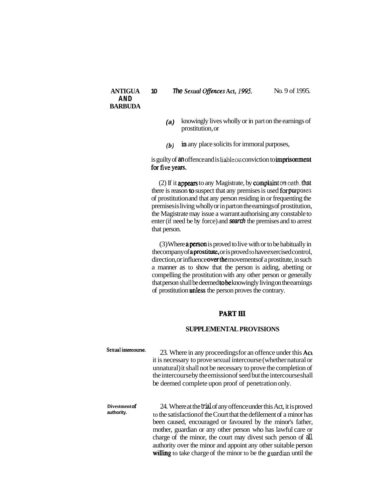- **(a)** knowingly lives wholly or in part on the earnings of prostitution, or
- **(b) in** any place solicits for immoral purposes,

is guilty of **an** offence and is liable on conviction to **imprisonment** for five years.

 $(2)$  If it **appears** to any Magistrate, by **complaint** on oath, that there is reason **to** suspect that any premises is used for purposes of prostitution and that any person residing in or frequenting the premises is living wholly or in part on the earnings of prostitution, the Magistrate may issue a warrant authorising any constable to enter (if need be by force) and **search** the premises and to arrest that person.

(3) Where aperson is proved to live with or to be habitually in thecompany of aprostitute, or is proved to have exercised control, direction, or influence over the movements of a prostitute, in such a manner as to show that the person is aiding, abetting or compelling the prostitution with any other person or generally that person shall be deemed tobe knowingly living on the earnings of prostitution unless the person proves the contrary.

### PART III

#### **SUPPLEMENTAL PROVISIONS**

- **sexual intercourse.** 23. Where in any proceedings for an offence under this ACL it is necessary to prove sexual intercourse (whether natural or unnatural) it shall not be necessary to prove the completion of the intercourse by the emission of seed but the intercourse shall be deemed complete upon proof of penetration only.
- Divestment of 24. Where at the **trial** of any offence under this Act, it is proved<br>authority. to the satisfaction of the Court that the defilement of a minor has been caused, encouraged or favoured by the minor's father, mother, guardian or any other person who has lawful care or charge of the minor, the court may divest such person of all authority over the minor and appoint any other suitable person willing to take charge of the minor to be the guardian until the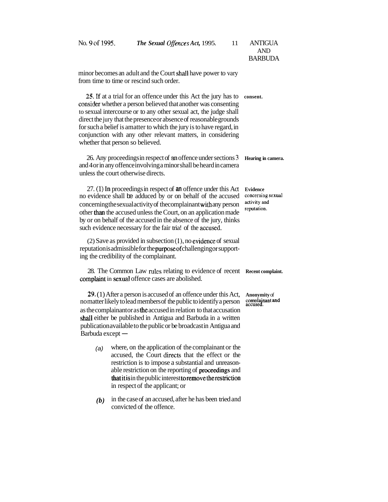| No. 9 of 1995.   | The Sexual Offences Act, 1995.<br>11                                                                                                                                                                                                                                                                                                                                                                                                                    | <b>ANTIGUA</b><br><b>AND</b><br><b>BARBUDA</b>                      |
|------------------|---------------------------------------------------------------------------------------------------------------------------------------------------------------------------------------------------------------------------------------------------------------------------------------------------------------------------------------------------------------------------------------------------------------------------------------------------------|---------------------------------------------------------------------|
|                  | minor becomes an adult and the Court shall have power to vary<br>from time to time or rescind such order.                                                                                                                                                                                                                                                                                                                                               |                                                                     |
|                  | 25. If at a trial for an offence under this Act the jury has to<br>consider whether a person believed that another was consenting<br>to sexual intercourse or to any other sexual act, the judge shall<br>direct the jury that the presence or absence of reasonable grounds<br>for such a belief is amatter to which the jury is to have regard, in<br>conjunction with any other relevant matters, in considering<br>whether that person so believed. | consent.                                                            |
|                  | 26. Any proceedings in respect of an offence under sections 3<br>and 4 or in any offence involving a minor shall be heard in camera<br>unless the court otherwise directs.                                                                                                                                                                                                                                                                              | Hearing in camera.                                                  |
|                  | 27. (1) In proceedings in respect of an offence under this Act<br>no evidence shall be adduced by or on behalf of the accused<br>concerning the sexual activity of the complainant with any person<br>other than the accused unless the Court, on an application made<br>by or on behalf of the accused in the absence of the jury, thinks<br>such evidence necessary for the fair tria! of the accused.                                                | <b>Evidence</b><br>concerning sexual<br>activity and<br>reputation. |
|                  | (2) Save as provided in subsection (1), no evidence of sexual<br>reputation is admissible for the purpose of challenging or support-<br>ing the credibility of the complainant.                                                                                                                                                                                                                                                                         |                                                                     |
|                  | 28. The Common Law rules relating to evidence of recent<br>complaint in sexual offence cases are abolished.                                                                                                                                                                                                                                                                                                                                             | Recent complaint.                                                   |
| Barbuda except — | 29. (1) After a person is accused of an offence under this Act,<br>no matter likely to lead members of the public to identify a person<br>as the complainant or as the accused in relation to that accusation<br>shall either be published in Antigua and Barbuda in a written<br>publication available to the public or be broadcastin Antigua and                                                                                                     | Anonymity of<br>complainant and<br>accused.                         |
| (a)              | where, on the application of the complainant or the<br>accused, the Court directs that the effect or the<br>restriction is to impose a substantial and unreason-<br>able restriction on the reporting of proceedings and<br>that it is in the public interest to remove the restriction<br>in respect of the applicant; or                                                                                                                              |                                                                     |
| (b)              | in the case of an accused, after he has been tried and<br>convicted of the offence.                                                                                                                                                                                                                                                                                                                                                                     |                                                                     |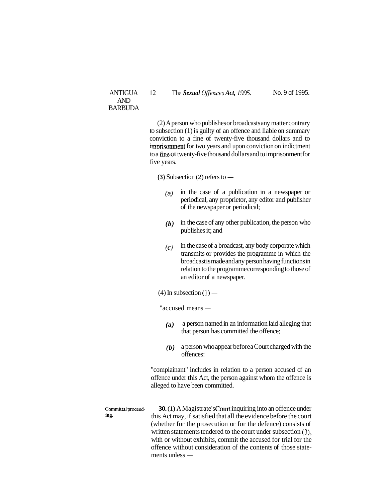#### ANTIGUA 12 The *Sexual Qffences Act, 1995.*

No. 9 of 1995.

(2) A person who publishes or broadcasts any matter contrary to subsection (1) is guilty of an offence and liable on summary conviction to a fine of twenty-five thousand dollars and to imprisonment for two years and upon conviction on indictment to a fine or twenty-five thousand dollars and to imprisonment for five years.

 $(3)$  Subsection  $(2)$  refers to  $-$ 

- (a) in the case of a publication in a newspaper or periodical, any proprietor, any editor and publisher of the newspaper or periodical;
- *(b)* in the case of any other publication, the person who publishes it; and
- **(c)** in the case of a broadcast, any body corporate which transmits or provides the programme in which the broadcast is made and any person having functions in relation to the programme corresponding to those of an editor of a newspaper.
- an editor or a new<br>  $(4)$  In subsection  $(1)$  —

 $(4)$  In subsection  $(1)$  —<br>"accused means —

- **(a)** a person named in an information laid alleging that that person has committed the offence;
- *(b)* a person who appear before a Court charged with the offences:

"complainant" includes in relation to a person accused of an offence under this Act, the person against whom the offence is alleged to have been committed.

**Committalproceed- 30.** (1) A Magistrate's Court inquiring into an offence under **ing.** this Act may, if satisfied that all the evidence before the court (whether for the prosecution or for the defence) consists of written statements tendered to the court under subsection **(3),**  with or without exhibits, commit the accused for trial for the offence without consideration of the contents of those statewith or without existence without compared<br>ments unless —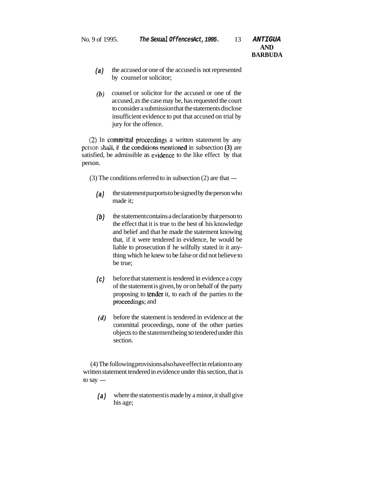- **(a)** the accused or one of the accused is not represented by counsel or solicitor;
- **(b)** counsel or solicitor for the accused or one of the accused, as the case may be, has requested the court to consider a submission that the statements disclose insufficient evidence to put that accused on trial by jury for the offence.

 $(2)$  In committal proceedings a written statement by any person shall, if the conditions mentioned in subsection **(3)** are satisfied, be admissible as evidence to the like effect by that person.

 $(3)$  The conditions referred to in subsection  $(2)$  are that  $-$ 

- **(a)** the statement purports to be signed by the person who made it;
- (b) the statement contains a declaration by that person to the effect that it is true to the best of his knowledge and belief and that he made the statement knowing that, if it were tendered in evidence, he would be liable to prosecution if he wilfully stated in it anything which he knew to be false or did not believe to be true;
- **(c)** before that statement is tendered in evidence a copy of the statement is given, by or on behalf of the party proposing to tender it, to each of the parties to the proceedmgs; and
- *(d)* before the statement is tendered in evidence at the committal proceedings, none of the other parties objects to the statement being so tendered under this section.

(4) The following provisions also have effect in relation to any written statement tendered in evidence under this section, that is (4) I he for<br>written state<br>to say  $-$ 

(a) where the statement is made by a minor, it shall give his age;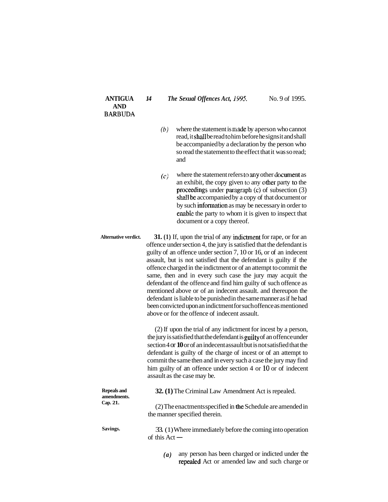**ANTIGUA AND BARBUDA**  *14 The Sexual Offences Act,* **i995.** No. 9 of 1995.

- $(b)$  where the statement is made by aperson who cannot read, it shall be read to him before he signs it and shall be accompanied by a declaration by the person who so read the statement to the effect that it was so read; and
- $(c)$  where the statement refers to any other document as an exhibit, the copy given to any other party to the proceedings under paragraph  $(c)$  of subsection  $(3)$ shall be accompanied by a copy of that document or by such information as may be necessary in order to enable the party to whom it is given to inspect that document or a copy thereof.

**Alternative verdict. 31. (1)** If, upon the trial of any indictment for rape, or for an offence under section 4, the jury is satisfied that the defendant is guilty of an offence under section 7, 10 or 16, or of an indecent assault, but is not satisfied that the defendant is guilty if the offence charged in the indictment or of an attempt to commit the same, then and in every such case the jury may acquit the defendant of the offence and find him guilty of such offence as mentioned above or of an indecent assault. and thereupon the defendant is liable to be punished in the same manner as if he had been convicted upon an indictment for such offence as mentioned above or for the offence of indecent assault.

> (2) If upon the trial of any indictment for incest by a person, the jury is satisfied that the defendant is guilty of an offence under section 4 or **10** or of an indecent assault but is not satisfied that the defendant is guilty of the charge of incest or of an attempt to commit the same then and in every such a case the jury may find him guilty of an offence under section 4 or 10 or of indecent assault as the case may be.

| <b>Repeals and</b><br>amendments. | 32. (1) The Criminal Law Amendment Act is repealed.                                          |  |
|-----------------------------------|----------------------------------------------------------------------------------------------|--|
| Cap. 21.                          | (2) The enactments specified in the Schedule are amended in<br>the manner specified therein. |  |
| Savings.                          | 33. (1) Where immediately before the coming into operation<br>of this $Act -$                |  |

*(a)* any person has been charged or indicted under the repealed Act or amended law and such charge or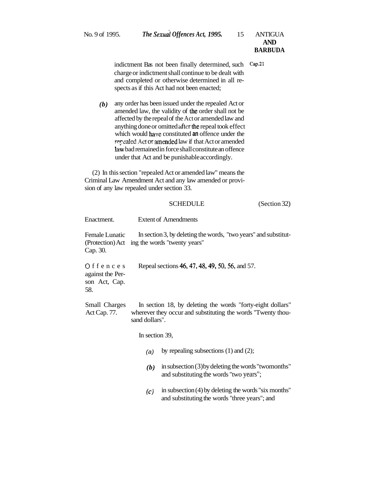- indictment Bas not been finally determined, such **Cap.21**  charge or indictment shall continue to be dealt with and completed or otherwise determined in all respects as if this Act had not been enacted;
- *(b)* any order has been issued under the repealed Act or amended law, the validity of the order shall not be affected by the repeal of the Act or amended law and anything done or omitted after the repeal took effect which would have constituted **an** offence under the repealed Act or amended law if that Act or amended law bad remained in force shall constitute an offence under that Act and be punishable accordingly.

(2) In this section "repealed Act or amended law" means the Criminal Law Amendment Act and any law amended or provision of any law repealed under section 33.

# SCHEDULE (Section 32) Enactment. Extent of Amendments Female Lunatic In section 3, by deleting the words, "two years" and substitut-(Protection) Act ing the words "twenty years" Cap. 30. O f f e n c e s Repeal sections 46, 47, 48, 49, 50, 56, and 57. against the Person Act, Cap. 58. Small Charges In section 18, by deleting the words "forty-eight dollars" Act Cap. 77. wherever they occur and substituting the words "Twenty thousand dollars". In section 39, (a) by repealing subsections  $(1)$  and  $(2)$ ; *(b)* in subsection (3) by deleting the words "twomonths" and substituting the words "two years"; *(c)* in subsection (4) by deleting the words "six months" and substituting the words "three years"; and